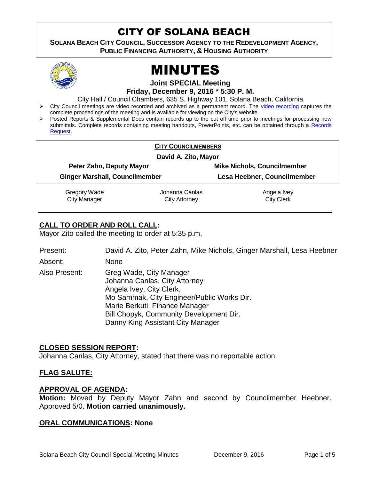# CITY OF SOLANA BEACH

**SOLANA BEACH CITY COUNCIL, SUCCESSOR AGENCY TO THE REDEVELOPMENT AGENCY, PUBLIC FINANCING AUTHORITY, & HOUSING AUTHORITY** 



# MINUTES

**Joint SPECIAL Meeting**

**Friday, December 9, 2016 \* 5:30 P. M.**

City Hall / Council Chambers, 635 S. Highway 101, Solana Beach, California

- > City Council meetings are video recorded and archived as a permanent record. The [video recording](https://solanabeach.12milesout.com/video/meeting/3e5173f6-967d-472d-a026-4f48324b9627) captures the complete proceedings of the meeting and is available for viewing on the City's website.
- Posted Reports & Supplemental Docs contain records up to the cut off time prior to meetings for processing new submittals. Complete records containing meeting handouts, PowerPoints, etc. can be obtained through a Records [Request.](http://www.ci.solana-beach.ca.us/index.asp?SEC=F5D45D10-70CE-4291-A27C-7BD633FC6742&Type=B_BASIC)

|                                       | <b>CITY COUNCILMEMBERS</b> |                                    |  |
|---------------------------------------|----------------------------|------------------------------------|--|
| David A. Zito, Mayor                  |                            |                                    |  |
| Peter Zahn, Deputy Mayor              |                            | <b>Mike Nichols, Councilmember</b> |  |
| <b>Ginger Marshall, Councilmember</b> |                            | Lesa Heebner, Councilmember        |  |
| Gregory Wade                          | Johanna Canlas             | Angela Ivey                        |  |
| <b>City Manager</b>                   | City Attorney              | <b>City Clerk</b>                  |  |

# **CALL TO ORDER AND ROLL CALL:**

Mayor Zito called the meeting to order at 5:35 p.m.

| Present: | David A. Zito, Peter Zahn, Mike Nichols, Ginger Marshall, Lesa Heebner |
|----------|------------------------------------------------------------------------|
| Absent:  | None                                                                   |

Also Present: Greg Wade, City Manager Johanna Canlas, City Attorney Angela Ivey, City Clerk, Mo Sammak, City Engineer/Public Works Dir. Marie Berkuti, Finance Manager Bill Chopyk, Community Development Dir. Danny King Assistant City Manager

# **CLOSED SESSION REPORT:**

Johanna Canlas, City Attorney, stated that there was no reportable action.

# **FLAG SALUTE:**

# **APPROVAL OF AGENDA:**

**Motion:** Moved by Deputy Mayor Zahn and second by Councilmember Heebner. Approved 5/0. **Motion carried unanimously.**

# **ORAL COMMUNICATIONS: None**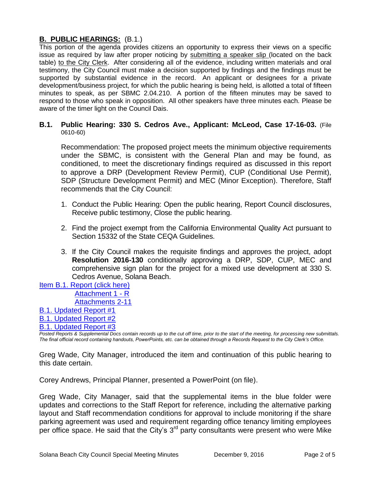# **B. PUBLIC HEARINGS:** (B.1.)

This portion of the agenda provides citizens an opportunity to express their views on a specific issue as required by law after proper noticing by submitting a speaker slip (located on the back table) to the City Clerk. After considering all of the evidence, including written materials and oral testimony, the City Council must make a decision supported by findings and the findings must be supported by substantial evidence in the record. An applicant or designees for a private development/business project, for which the public hearing is being held, is allotted a total of fifteen minutes to speak, as per SBMC 2.04.210. A portion of the fifteen minutes may be saved to respond to those who speak in opposition. All other speakers have three minutes each. Please be aware of the timer light on the Council Dais.

#### **B.1. Public Hearing: 330 S. Cedros Ave., Applicant: McLeod, Case 17-16-03.** (File 0610-60)

Recommendation: The proposed project meets the minimum objective requirements under the SBMC, is consistent with the General Plan and may be found, as conditioned, to meet the discretionary findings required as discussed in this report to approve a DRP (Development Review Permit), CUP (Conditional Use Permit), SDP (Structure Development Permit) and MEC (Minor Exception). Therefore, Staff recommends that the City Council:

- 1. Conduct the Public Hearing: Open the public hearing, Report Council disclosures, Receive public testimony, Close the public hearing.
- 2. Find the project exempt from the California Environmental Quality Act pursuant to Section 15332 of the State CEQA Guidelines.
- 3. If the City Council makes the requisite findings and approves the project, adopt **Resolution 2016-130** conditionally approving a DRP, SDP, CUP, MEC and comprehensive sign plan for the project for a mixed use development at 330 S. Cedros Avenue, Solana Beach.
- Item [B.1. Report \(click here\)](https://solanabeach.govoffice3.com/vertical/Sites/%7B840804C2-F869-4904-9AE3-720581350CE7%7D/uploads/Item_B.1._Report_(click_here)_-_12-09-16.PDF) [Attachment 1](https://solanabeach.govoffice3.com/vertical/Sites/%7B840804C2-F869-4904-9AE3-720581350CE7%7D/uploads/Attachment_1_-_12-09-16_-_R.pdf) - R

[Attachments 2-11](https://solanabeach.govoffice3.com/vertical/Sites/%7B840804C2-F869-4904-9AE3-720581350CE7%7D/uploads/Atatchments_2-11_-_12-09-16.pdf)

# [B.1. Updated Report #1](https://solanabeach.govoffice3.com/vertical/Sites/%7B840804C2-F869-4904-9AE3-720581350CE7%7D/uploads/B.1._Updated_Report__1_-_12-09-16_.pdf)

[B.1. Updated Report #2](https://solanabeach.govoffice3.com/vertical/Sites/%7B840804C2-F869-4904-9AE3-720581350CE7%7D/uploads/B.1._Updated_Report__2_-_12-09-16_.pdf)

# [B.1. Updated Report #3](https://solanabeach.govoffice3.com/vertical/Sites/%7B840804C2-F869-4904-9AE3-720581350CE7%7D/uploads/B.1._Updated_Report__3_-_12-09-16.pdf)

*Posted Reports & Supplemental Docs contain records up to the cut off time, prior to the start of the meeting, for processing new submittals. The final official record containing handouts, PowerPoints, etc. can be obtained through a Records Request to the City Clerk's Office.*

Greg Wade, City Manager, introduced the item and continuation of this public hearing to this date certain.

Corey Andrews, Principal Planner, presented a PowerPoint (on file).

Greg Wade, City Manager, said that the supplemental items in the blue folder were updates and corrections to the Staff Report for reference, including the alternative parking layout and Staff recommendation conditions for approval to include monitoring if the share parking agreement was used and requirement regarding office tenancy limiting employees per office space. He said that the City's  $3<sup>rd</sup>$  party consultants were present who were Mike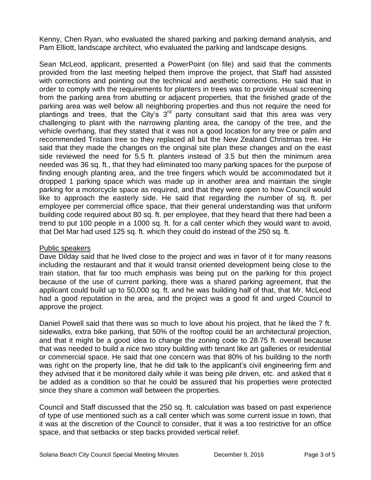Kenny, Chen Ryan, who evaluated the shared parking and parking demand analysis, and Pam Elliott, landscape architect, who evaluated the parking and landscape designs.

Sean McLeod, applicant, presented a PowerPoint (on file) and said that the comments provided from the last meeting helped them improve the project, that Staff had assisted with corrections and pointing out the technical and aesthetic corrections. He said that in order to comply with the requirements for planters in trees was to provide visual screening from the parking area from abutting or adjacent properties, that the finished grade of the parking area was well below all neighboring properties and thus not require the need for plantings and trees, that the City's  $3<sup>rd</sup>$  party consultant said that this area was very challenging to plant with the narrowing planting area, the canopy of the tree, and the vehicle overhang, that they stated that it was not a good location for any tree or palm and recommended Tristani tree so they replaced all but the New Zealand Christmas tree. He said that they made the changes on the original site plan these changes and on the east side reviewed the need for 5.5 ft. planters instead of 3.5 but then the minimum area needed was 36 sq. ft., that they had eliminated too many parking spaces for the purpose of finding enough planting area, and the tree fingers which would be accommodated but it dropped 1 parking space which was made up in another area and maintain the single parking for a motorcycle space as required, and that they were open to how Council would like to approach the easterly side. He said that regarding the number of sq. ft. per employee per commercial office space, that their general understanding was that uniform building code required about 80 sq. ft. per employee, that they heard that there had been a trend to put 100 people in a 1000 sq. ft. for a call center which they would want to avoid, that Del Mar had used 125 sq. ft. which they could do instead of the 250 sq. ft.

# Public speakers

Dave Dilday said that he lived close to the project and was in favor of it for many reasons including the restaurant and that it would transit oriented development being close to the train station, that far too much emphasis was being put on the parking for this project because of the use of current parking, there was a shared parking agreement, that the applicant could build up to 50,000 sq. ft. and he was building half of that, that Mr. McLeod had a good reputation in the area, and the project was a good fit and urged Council to approve the project.

Daniel Powell said that there was so much to love about his project, that he liked the 7 ft. sidewalks, extra bike parking, that 50% of the rooftop could be an architectural projection, and that it might be a good idea to change the zoning code to 28.75 ft. overall because that was needed to build a nice two story building with tenant like art galleries or residential or commercial space. He said that one concern was that 80% of his building to the north was right on the property line, that he did talk to the applicant's civil engineering firm and they advised that it be monitored daily while it was being pile driven, etc. and asked that it be added as a condition so that he could be assured that his properties were protected since they share a common wall between the properties.

Council and Staff discussed that the 250 sq. ft. calculation was based on past experience of type of use mentioned such as a call center which was some current issue in town, that it was at the discretion of the Council to consider, that it was a too restrictive for an office space, and that setbacks or step backs provided vertical relief.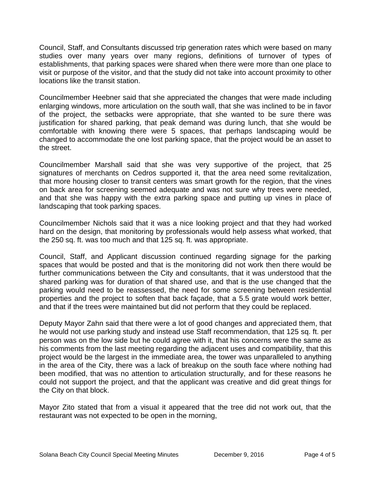Council, Staff, and Consultants discussed trip generation rates which were based on many studies over many years over many regions, definitions of turnover of types of establishments, that parking spaces were shared when there were more than one place to visit or purpose of the visitor, and that the study did not take into account proximity to other locations like the transit station.

Councilmember Heebner said that she appreciated the changes that were made including enlarging windows, more articulation on the south wall, that she was inclined to be in favor of the project, the setbacks were appropriate, that she wanted to be sure there was justification for shared parking, that peak demand was during lunch, that she would be comfortable with knowing there were 5 spaces, that perhaps landscaping would be changed to accommodate the one lost parking space, that the project would be an asset to the street.

Councilmember Marshall said that she was very supportive of the project, that 25 signatures of merchants on Cedros supported it, that the area need some revitalization, that more housing closer to transit centers was smart growth for the region, that the vines on back area for screening seemed adequate and was not sure why trees were needed, and that she was happy with the extra parking space and putting up vines in place of landscaping that took parking spaces.

Councilmember Nichols said that it was a nice looking project and that they had worked hard on the design, that monitoring by professionals would help assess what worked, that the 250 sq. ft. was too much and that 125 sq. ft. was appropriate.

Council, Staff, and Applicant discussion continued regarding signage for the parking spaces that would be posted and that is the monitoring did not work then there would be further communications between the City and consultants, that it was understood that the shared parking was for duration of that shared use, and that is the use changed that the parking would need to be reassessed, the need for some screening between residential properties and the project to soften that back façade, that a 5.5 grate would work better, and that if the trees were maintained but did not perform that they could be replaced.

Deputy Mayor Zahn said that there were a lot of good changes and appreciated them, that he would not use parking study and instead use Staff recommendation, that 125 sq. ft. per person was on the low side but he could agree with it, that his concerns were the same as his comments from the last meeting regarding the adjacent uses and compatibility, that this project would be the largest in the immediate area, the tower was unparalleled to anything in the area of the City, there was a lack of breakup on the south face where nothing had been modified, that was no attention to articulation structurally, and for these reasons he could not support the project, and that the applicant was creative and did great things for the City on that block.

Mayor Zito stated that from a visual it appeared that the tree did not work out, that the restaurant was not expected to be open in the morning,